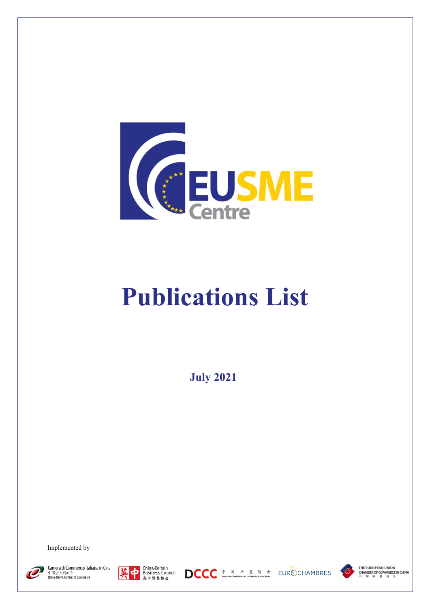

## **Publications List**

**July 2021**

Implemented by















THE EUROPEAN UNION **CHAMBER OF COMMERCE IN CHINA**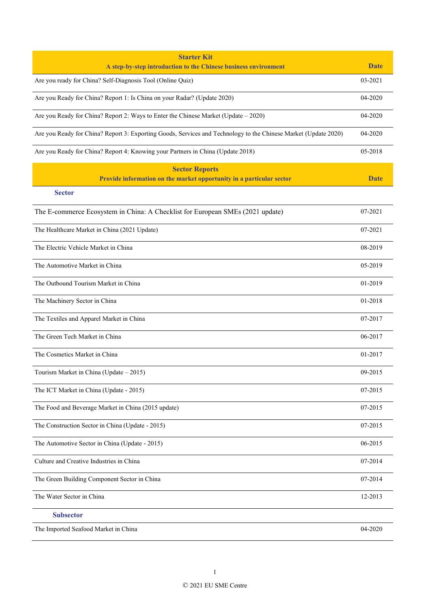| <b>Starter Kit</b>                                                                                              |             |
|-----------------------------------------------------------------------------------------------------------------|-------------|
| A step-by-step introduction to the Chinese business environment                                                 | <b>Date</b> |
| Are you ready for China? Self-Diagnosis Tool (Online Quiz)                                                      | 03-2021     |
| Are you Ready for China? Report 1: Is China on your Radar? (Update 2020)                                        | 04-2020     |
| Are you Ready for China? Report 2: Ways to Enter the Chinese Market (Update - 2020)                             | 04-2020     |
| Are you Ready for China? Report 3: Exporting Goods, Services and Technology to the Chinese Market (Update 2020) | 04-2020     |
| Are you Ready for China? Report 4: Knowing your Partners in China (Update 2018)                                 | 05-2018     |
| <b>Sector Reports</b>                                                                                           |             |
| Provide information on the market opportunity in a particular sector                                            | <b>Date</b> |
| <b>Sector</b>                                                                                                   |             |
| The E-commerce Ecosystem in China: A Checklist for European SMEs (2021 update)                                  | 07-2021     |
| The Healthcare Market in China (2021 Update)                                                                    | 07-2021     |
| The Electric Vehicle Market in China                                                                            | 08-2019     |
| The Automotive Market in China                                                                                  | 05-2019     |
| The Outbound Tourism Market in China                                                                            | 01-2019     |
| The Machinery Sector in China                                                                                   | 01-2018     |
| The Textiles and Apparel Market in China                                                                        | 07-2017     |
| The Green Tech Market in China                                                                                  | 06-2017     |
| The Cosmetics Market in China                                                                                   | 01-2017     |
| Tourism Market in China (Update - 2015)                                                                         | 09-2015     |
| The ICT Market in China (Update - 2015)                                                                         | 07-2015     |
| The Food and Beverage Market in China (2015 update)                                                             | 07-2015     |
| The Construction Sector in China (Update - 2015)                                                                | 07-2015     |
| The Automotive Sector in China (Update - 2015)                                                                  | 06-2015     |
| Culture and Creative Industries in China                                                                        | 07-2014     |
| The Green Building Component Sector in China                                                                    | 07-2014     |
| The Water Sector in China                                                                                       | 12-2013     |
| <b>Subsector</b>                                                                                                |             |
| The Imported Seafood Market in China                                                                            | 04-2020     |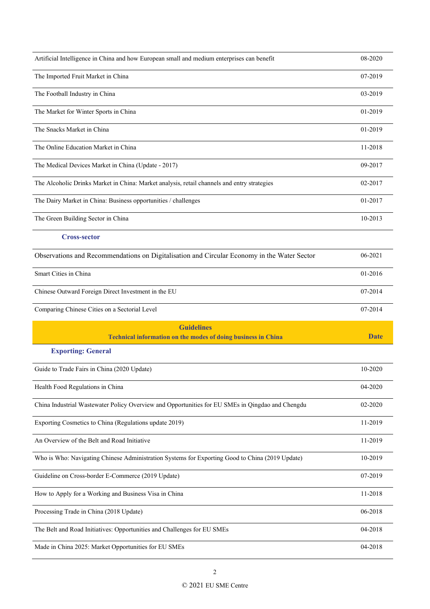| Artificial Intelligence in China and how European small and medium enterprises can benefit       | 08-2020     |
|--------------------------------------------------------------------------------------------------|-------------|
| The Imported Fruit Market in China                                                               | 07-2019     |
| The Football Industry in China                                                                   | 03-2019     |
| The Market for Winter Sports in China                                                            | 01-2019     |
| The Snacks Market in China                                                                       | 01-2019     |
| The Online Education Market in China                                                             | 11-2018     |
| The Medical Devices Market in China (Update - 2017)                                              | 09-2017     |
| The Alcoholic Drinks Market in China: Market analysis, retail channels and entry strategies      | 02-2017     |
| The Dairy Market in China: Business opportunities / challenges                                   | 01-2017     |
| The Green Building Sector in China                                                               | 10-2013     |
| <b>Cross-sector</b>                                                                              |             |
| Observations and Recommendations on Digitalisation and Circular Economy in the Water Sector      | 06-2021     |
| Smart Cities in China                                                                            | 01-2016     |
| Chinese Outward Foreign Direct Investment in the EU                                              | 07-2014     |
|                                                                                                  |             |
| Comparing Chinese Cities on a Sectorial Level                                                    | 07-2014     |
| <b>Guidelines</b>                                                                                |             |
| <b>Technical information on the modes of doing business in China</b>                             | <b>Date</b> |
| <b>Exporting: General</b>                                                                        |             |
| Guide to Trade Fairs in China (2020 Update)                                                      | 10-2020     |
| Health Food Regulations in China                                                                 | 04-2020     |
| China Industrial Wastewater Policy Overview and Opportunities for EU SMEs in Qingdao and Chengdu | 02-2020     |
| Exporting Cosmetics to China (Regulations update 2019)                                           | 11-2019     |
| An Overview of the Belt and Road Initiative                                                      | 11-2019     |
| Who is Who: Navigating Chinese Administration Systems for Exporting Good to China (2019 Update)  | 10-2019     |
| Guideline on Cross-border E-Commerce (2019 Update)                                               | 07-2019     |
| How to Apply for a Working and Business Visa in China                                            | 11-2018     |
| Processing Trade in China (2018 Update)                                                          | 06-2018     |
| The Belt and Road Initiatives: Opportunities and Challenges for EU SMEs                          | 04-2018     |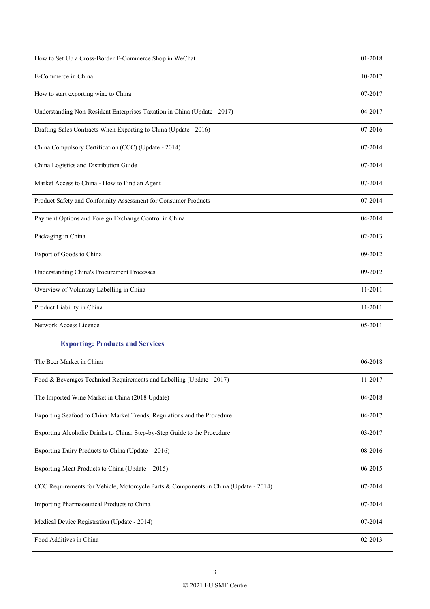| How to Set Up a Cross-Border E-Commerce Shop in WeChat                               | 01-2018 |
|--------------------------------------------------------------------------------------|---------|
| E-Commerce in China                                                                  | 10-2017 |
| How to start exporting wine to China                                                 | 07-2017 |
| Understanding Non-Resident Enterprises Taxation in China (Update - 2017)             | 04-2017 |
| Drafting Sales Contracts When Exporting to China (Update - 2016)                     | 07-2016 |
| China Compulsory Certification (CCC) (Update - 2014)                                 | 07-2014 |
| China Logistics and Distribution Guide                                               | 07-2014 |
| Market Access to China - How to Find an Agent                                        | 07-2014 |
| Product Safety and Conformity Assessment for Consumer Products                       | 07-2014 |
| Payment Options and Foreign Exchange Control in China                                | 04-2014 |
| Packaging in China                                                                   | 02-2013 |
| Export of Goods to China                                                             | 09-2012 |
| <b>Understanding China's Procurement Processes</b>                                   | 09-2012 |
| Overview of Voluntary Labelling in China                                             | 11-2011 |
| Product Liability in China                                                           | 11-2011 |
| Network Access Licence                                                               | 05-2011 |
| <b>Exporting: Products and Services</b>                                              |         |
| The Beer Market in China                                                             | 06-2018 |
| Food & Beverages Technical Requirements and Labelling (Update - 2017)                | 11-2017 |
| The Imported Wine Market in China (2018 Update)                                      | 04-2018 |
| Exporting Seafood to China: Market Trends, Regulations and the Procedure             | 04-2017 |
| Exporting Alcoholic Drinks to China: Step-by-Step Guide to the Procedure             | 03-2017 |
| Exporting Dairy Products to China (Update – 2016)                                    | 08-2016 |
| Exporting Meat Products to China (Update $-2015$ )                                   | 06-2015 |
| CCC Requirements for Vehicle, Motorcycle Parts & Components in China (Update - 2014) | 07-2014 |
| Importing Pharmaceutical Products to China                                           | 07-2014 |
| Medical Device Registration (Update - 2014)                                          | 07-2014 |
| Food Additives in China                                                              | 02-2013 |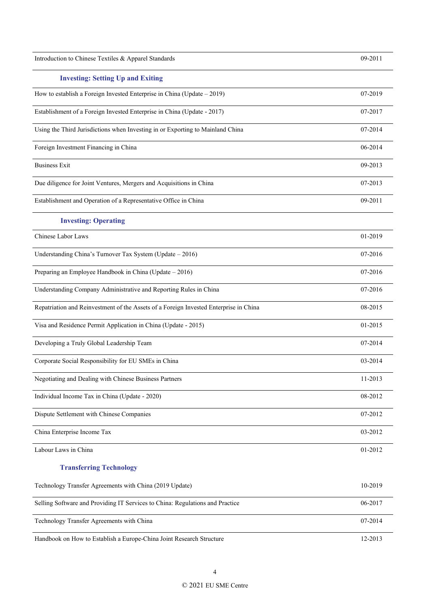| Introduction to Chinese Textiles & Apparel Standards                                  | 09-2011 |
|---------------------------------------------------------------------------------------|---------|
| <b>Investing: Setting Up and Exiting</b>                                              |         |
| How to establish a Foreign Invested Enterprise in China (Update - 2019)               | 07-2019 |
| Establishment of a Foreign Invested Enterprise in China (Update - 2017)               | 07-2017 |
| Using the Third Jurisdictions when Investing in or Exporting to Mainland China        | 07-2014 |
| Foreign Investment Financing in China                                                 | 06-2014 |
| <b>Business Exit</b>                                                                  | 09-2013 |
| Due diligence for Joint Ventures, Mergers and Acquisitions in China                   | 07-2013 |
| Establishment and Operation of a Representative Office in China                       | 09-2011 |
| <b>Investing: Operating</b>                                                           |         |
| Chinese Labor Laws                                                                    | 01-2019 |
| Understanding China's Turnover Tax System (Update - 2016)                             | 07-2016 |
| Preparing an Employee Handbook in China (Update - 2016)                               | 07-2016 |
| Understanding Company Administrative and Reporting Rules in China                     | 07-2016 |
| Repatriation and Reinvestment of the Assets of a Foreign Invested Enterprise in China | 08-2015 |
| Visa and Residence Permit Application in China (Update - 2015)                        | 01-2015 |
| Developing a Truly Global Leadership Team                                             | 07-2014 |
| Corporate Social Responsibility for EU SMEs in China                                  | 03-2014 |
| Negotiating and Dealing with Chinese Business Partners                                | 11-2013 |
| Individual Income Tax in China (Update - 2020)                                        | 08-2012 |
| Dispute Settlement with Chinese Companies                                             | 07-2012 |
| China Enterprise Income Tax                                                           | 03-2012 |
| Labour Laws in China                                                                  | 01-2012 |
| <b>Transferring Technology</b>                                                        |         |
| Technology Transfer Agreements with China (2019 Update)                               | 10-2019 |
| Selling Software and Providing IT Services to China: Regulations and Practice         | 06-2017 |
| Technology Transfer Agreements with China                                             | 07-2014 |
| Handbook on How to Establish a Europe-China Joint Research Structure                  | 12-2013 |

4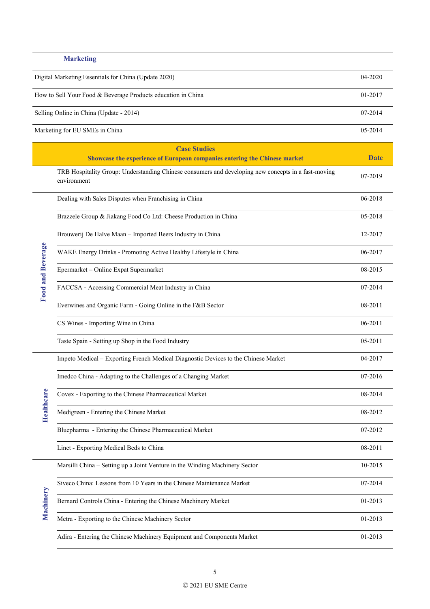## **Marketing**

| Digital Marketing Essentials for China (Update 2020)         | $04 - 2020$ |
|--------------------------------------------------------------|-------------|
| How to Sell Your Food & Beverage Products education in China | 01-2017     |
| Selling Online in China (Update - 2014)                      | 07-2014     |
| Marketing for EU SMEs in China                               | 05-2014     |

|                          | <b>Case Studies</b>                                                                                                |         |
|--------------------------|--------------------------------------------------------------------------------------------------------------------|---------|
|                          | Showcase the experience of European companies entering the Chinese market                                          | Date    |
|                          | TRB Hospitality Group: Understanding Chinese consumers and developing new concepts in a fast-moving<br>environment | 07-2019 |
| <b>Food and Beverage</b> | Dealing with Sales Disputes when Franchising in China                                                              | 06-2018 |
|                          | Brazzele Group & Jiakang Food Co Ltd: Cheese Production in China                                                   | 05-2018 |
|                          | Brouwerij De Halve Maan - Imported Beers Industry in China                                                         | 12-2017 |
|                          | WAKE Energy Drinks - Promoting Active Healthy Lifestyle in China                                                   | 06-2017 |
|                          | Epermarket - Online Expat Supermarket                                                                              | 08-2015 |
|                          | FACCSA - Accessing Commercial Meat Industry in China                                                               | 07-2014 |
|                          | Everwines and Organic Farm - Going Online in the F&B Sector                                                        | 08-2011 |
|                          | CS Wines - Importing Wine in China                                                                                 | 06-2011 |
|                          | Taste Spain - Setting up Shop in the Food Industry                                                                 | 05-2011 |
|                          | Impeto Medical - Exporting French Medical Diagnostic Devices to the Chinese Market                                 | 04-2017 |
|                          | Imedco China - Adapting to the Challenges of a Changing Market                                                     | 07-2016 |
|                          | Covex - Exporting to the Chinese Pharmaceutical Market                                                             | 08-2014 |
| <b>Healthcare</b>        | Medigreen - Entering the Chinese Market                                                                            | 08-2012 |
|                          | Bluepharma - Entering the Chinese Pharmaceutical Market                                                            | 07-2012 |
|                          | Linet - Exporting Medical Beds to China                                                                            | 08-2011 |
|                          | Marsilli China - Setting up a Joint Venture in the Winding Machinery Sector                                        | 10-2015 |
|                          | Siveco China: Lessons from 10 Years in the Chinese Maintenance Market                                              | 07-2014 |
| Machinery                | Bernard Controls China - Entering the Chinese Machinery Market                                                     | 01-2013 |
|                          | Metra - Exporting to the Chinese Machinery Sector                                                                  | 01-2013 |
|                          | Adira - Entering the Chinese Machinery Equipment and Components Market                                             | 01-2013 |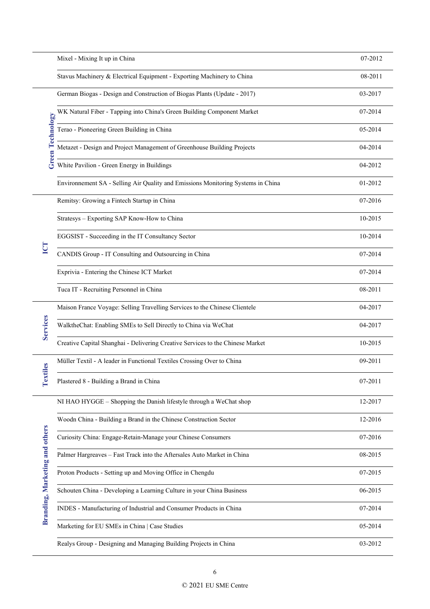|                                | Mixel - Mixing It up in China                                                    | 07-2012 |
|--------------------------------|----------------------------------------------------------------------------------|---------|
|                                | Stavus Machinery & Electrical Equipment - Exporting Machinery to China           | 08-2011 |
|                                | German Biogas - Design and Construction of Biogas Plants (Update - 2017)         | 03-2017 |
|                                | WK Natural Fiber - Tapping into China's Green Building Component Market          | 07-2014 |
|                                | Terao - Pioneering Green Building in China                                       | 05-2014 |
| <b>Green Technology</b>        | Metazet - Design and Project Management of Greenhouse Building Projects          | 04-2014 |
|                                | White Pavilion - Green Energy in Buildings                                       | 04-2012 |
|                                | Environmement SA - Selling Air Quality and Emissions Monitoring Systems in China | 01-2012 |
|                                | Remitsy: Growing a Fintech Startup in China                                      | 07-2016 |
|                                | Stratesys - Exporting SAP Know-How to China                                      | 10-2015 |
|                                | EGGSIST - Succeeding in the IT Consultancy Sector                                | 10-2014 |
| ICT                            | CANDIS Group - IT Consulting and Outsourcing in China                            | 07-2014 |
|                                | Exprivia - Entering the Chinese ICT Market                                       | 07-2014 |
|                                | Tuca IT - Recruiting Personnel in China                                          | 08-2011 |
|                                | Maison France Voyage: Selling Travelling Services to the Chinese Clientele       | 04-2017 |
| <b>Services</b>                | WalktheChat: Enabling SMEs to Sell Directly to China via WeChat                  | 04-2017 |
|                                | Creative Capital Shanghai - Delivering Creative Services to the Chinese Market   | 10-2015 |
| iles                           | Müller Textil - A leader in Functional Textiles Crossing Over to China           | 09-2011 |
| Text                           | Plastered 8 - Building a Brand in China                                          | 07-2011 |
|                                | NI HAO HYGGE - Shopping the Danish lifestyle through a WeChat shop               | 12-2017 |
|                                | Woodn China - Building a Brand in the Chinese Construction Sector                | 12-2016 |
|                                | Curiosity China: Engage-Retain-Manage your Chinese Consumers                     | 07-2016 |
|                                | Palmer Hargreaves - Fast Track into the Aftersales Auto Market in China          | 08-2015 |
|                                | Proton Products - Setting up and Moving Office in Chengdu                        | 07-2015 |
|                                | Schouten China - Developing a Learning Culture in your China Business            | 06-2015 |
| Branding, Marketing and others | INDES - Manufacturing of Industrial and Consumer Products in China               | 07-2014 |
|                                | Marketing for EU SMEs in China   Case Studies                                    | 05-2014 |
|                                | Realys Group - Designing and Managing Building Projects in China                 | 03-2012 |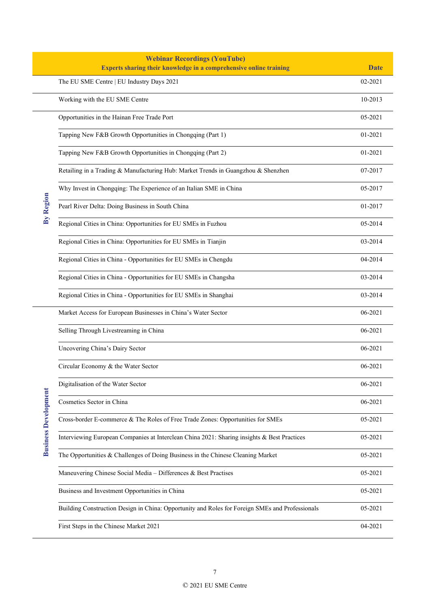|                             | <b>Webinar Recordings (YouTube)</b>                                                             |             |
|-----------------------------|-------------------------------------------------------------------------------------------------|-------------|
|                             | Experts sharing their knowledge in a comprehensive online training                              | <b>Date</b> |
|                             | The EU SME Centre   EU Industry Days 2021                                                       | 02-2021     |
|                             | Working with the EU SME Centre                                                                  | 10-2013     |
|                             | Opportunities in the Hainan Free Trade Port                                                     | 05-2021     |
|                             | Tapping New F&B Growth Opportunities in Chongqing (Part 1)                                      | 01-2021     |
|                             | Tapping New F&B Growth Opportunities in Chongqing (Part 2)                                      | 01-2021     |
|                             | Retailing in a Trading & Manufacturing Hub: Market Trends in Guangzhou & Shenzhen               | 07-2017     |
|                             | Why Invest in Chongqing: The Experience of an Italian SME in China                              | 05-2017     |
| By Region                   | Pearl River Delta: Doing Business in South China                                                | 01-2017     |
|                             | Regional Cities in China: Opportunities for EU SMEs in Fuzhou                                   | 05-2014     |
|                             | Regional Cities in China: Opportunities for EU SMEs in Tianjin                                  | 03-2014     |
|                             | Regional Cities in China - Opportunities for EU SMEs in Chengdu                                 | 04-2014     |
|                             | Regional Cities in China - Opportunities for EU SMEs in Changsha                                | 03-2014     |
|                             | Regional Cities in China - Opportunities for EU SMEs in Shanghai                                | 03-2014     |
|                             | Market Access for European Businesses in China's Water Sector                                   | 06-2021     |
|                             | Selling Through Livestreaming in China                                                          | 06-2021     |
|                             | Uncovering China's Dairy Sector                                                                 | 06-2021     |
|                             | Circular Economy & the Water Sector                                                             | 06-2021     |
|                             | Digitalisation of the Water Sector                                                              | 06-2021     |
| <b>Business Development</b> | Cosmetics Sector in China                                                                       | 06-2021     |
|                             | Cross-border E-commerce & The Roles of Free Trade Zones: Opportunities for SMEs                 | 05-2021     |
|                             | Interviewing European Companies at Interclean China 2021: Sharing insights & Best Practices     | 05-2021     |
|                             | The Opportunities & Challenges of Doing Business in the Chinese Cleaning Market                 | 05-2021     |
|                             | Maneuvering Chinese Social Media - Differences & Best Practises                                 | 05-2021     |
|                             | Business and Investment Opportunities in China                                                  | 05-2021     |
|                             | Building Construction Design in China: Opportunity and Roles for Foreign SMEs and Professionals | 05-2021     |
|                             | First Steps in the Chinese Market 2021                                                          | 04-2021     |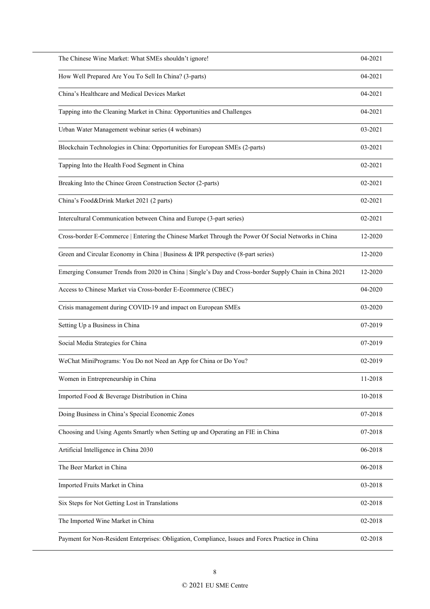| The Chinese Wine Market: What SMEs shouldn't ignore!                                                   | 04-2021 |
|--------------------------------------------------------------------------------------------------------|---------|
| How Well Prepared Are You To Sell In China? (3-parts)                                                  | 04-2021 |
| China's Healthcare and Medical Devices Market                                                          | 04-2021 |
| Tapping into the Cleaning Market in China: Opportunities and Challenges                                | 04-2021 |
| Urban Water Management webinar series (4 webinars)                                                     | 03-2021 |
| Blockchain Technologies in China: Opportunities for European SMEs (2-parts)                            | 03-2021 |
| Tapping Into the Health Food Segment in China                                                          | 02-2021 |
| Breaking Into the Chinee Green Construction Sector (2-parts)                                           | 02-2021 |
| China's Food&Drink Market 2021 (2 parts)                                                               | 02-2021 |
| Intercultural Communication between China and Europe (3-part series)                                   | 02-2021 |
| Cross-border E-Commerce   Entering the Chinese Market Through the Power Of Social Networks in China    | 12-2020 |
| Green and Circular Economy in China   Business & IPR perspective (8-part series)                       | 12-2020 |
| Emerging Consumer Trends from 2020 in China   Single's Day and Cross-border Supply Chain in China 2021 | 12-2020 |
| Access to Chinese Market via Cross-border E-Ecommerce (CBEC)                                           | 04-2020 |
| Crisis management during COVID-19 and impact on European SMEs                                          | 03-2020 |
| Setting Up a Business in China                                                                         | 07-2019 |
| Social Media Strategies for China                                                                      | 07-2019 |
| WeChat MiniPrograms: You Do not Need an App for China or Do You?                                       | 02-2019 |
| Women in Entrepreneurship in China                                                                     | 11-2018 |
| Imported Food & Beverage Distribution in China                                                         | 10-2018 |
| Doing Business in China's Special Economic Zones                                                       | 07-2018 |
| Choosing and Using Agents Smartly when Setting up and Operating an FIE in China                        | 07-2018 |
| Artificial Intelligence in China 2030                                                                  | 06-2018 |
| The Beer Market in China                                                                               | 06-2018 |
| Imported Fruits Market in China                                                                        | 03-2018 |
| Six Steps for Not Getting Lost in Translations                                                         | 02-2018 |
| The Imported Wine Market in China                                                                      | 02-2018 |
| Payment for Non-Resident Enterprises: Obligation, Compliance, Issues and Forex Practice in China       | 02-2018 |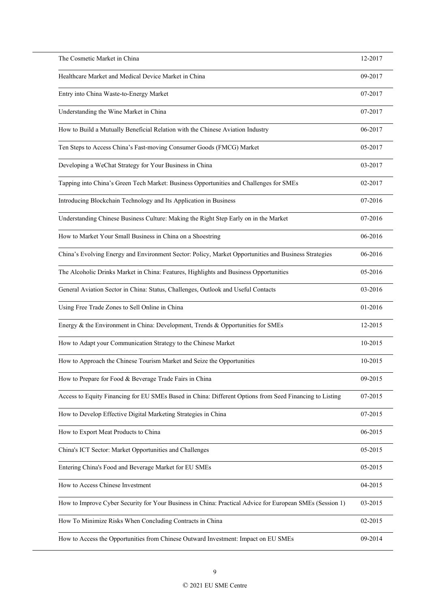| The Cosmetic Market in China                                                                             | 12-2017 |
|----------------------------------------------------------------------------------------------------------|---------|
| Healthcare Market and Medical Device Market in China                                                     | 09-2017 |
| Entry into China Waste-to-Energy Market                                                                  | 07-2017 |
| Understanding the Wine Market in China                                                                   | 07-2017 |
| How to Build a Mutually Beneficial Relation with the Chinese Aviation Industry                           | 06-2017 |
| Ten Steps to Access China's Fast-moving Consumer Goods (FMCG) Market                                     | 05-2017 |
| Developing a WeChat Strategy for Your Business in China                                                  | 03-2017 |
| Tapping into China's Green Tech Market: Business Opportunities and Challenges for SMEs                   | 02-2017 |
| Introducing Blockchain Technology and Its Application in Business                                        | 07-2016 |
| Understanding Chinese Business Culture: Making the Right Step Early on in the Market                     | 07-2016 |
| How to Market Your Small Business in China on a Shoestring                                               | 06-2016 |
| China's Evolving Energy and Environment Sector: Policy, Market Opportunities and Business Strategies     | 06-2016 |
| The Alcoholic Drinks Market in China: Features, Highlights and Business Opportunities                    | 05-2016 |
| General Aviation Sector in China: Status, Challenges, Outlook and Useful Contacts                        | 03-2016 |
| Using Free Trade Zones to Sell Online in China                                                           | 01-2016 |
| Energy & the Environment in China: Development, Trends & Opportunities for SMEs                          | 12-2015 |
| How to Adapt your Communication Strategy to the Chinese Market                                           | 10-2015 |
| How to Approach the Chinese Tourism Market and Seize the Opportunities                                   | 10-2015 |
| How to Prepare for Food & Beverage Trade Fairs in China                                                  | 09-2015 |
| Access to Equity Financing for EU SMEs Based in China: Different Options from Seed Financing to Listing  | 07-2015 |
| How to Develop Effective Digital Marketing Strategies in China                                           | 07-2015 |
| How to Export Meat Products to China                                                                     | 06-2015 |
| China's ICT Sector: Market Opportunities and Challenges                                                  | 05-2015 |
| Entering China's Food and Beverage Market for EU SMEs                                                    | 05-2015 |
| How to Access Chinese Investment                                                                         | 04-2015 |
| How to Improve Cyber Security for Your Business in China: Practical Advice for European SMEs (Session 1) | 03-2015 |
| How To Minimize Risks When Concluding Contracts in China                                                 | 02-2015 |
| How to Access the Opportunities from Chinese Outward Investment: Impact on EU SMEs                       | 09-2014 |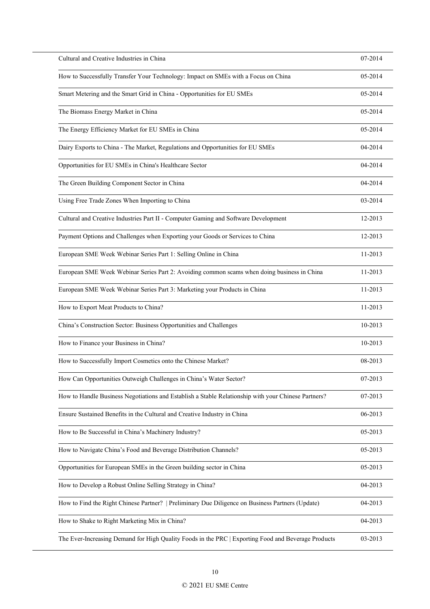| Cultural and Creative Industries in China                                                           | 07-2014 |
|-----------------------------------------------------------------------------------------------------|---------|
| How to Successfully Transfer Your Technology: Impact on SMEs with a Focus on China                  | 05-2014 |
| Smart Metering and the Smart Grid in China - Opportunities for EU SMEs                              | 05-2014 |
| The Biomass Energy Market in China                                                                  | 05-2014 |
| The Energy Efficiency Market for EU SMEs in China                                                   | 05-2014 |
| Dairy Exports to China - The Market, Regulations and Opportunities for EU SMEs                      | 04-2014 |
| Opportunities for EU SMEs in China's Healthcare Sector                                              | 04-2014 |
| The Green Building Component Sector in China                                                        | 04-2014 |
| Using Free Trade Zones When Importing to China                                                      | 03-2014 |
| Cultural and Creative Industries Part II - Computer Gaming and Software Development                 | 12-2013 |
| Payment Options and Challenges when Exporting your Goods or Services to China                       | 12-2013 |
| European SME Week Webinar Series Part 1: Selling Online in China                                    | 11-2013 |
| European SME Week Webinar Series Part 2: Avoiding common scams when doing business in China         | 11-2013 |
| European SME Week Webinar Series Part 3: Marketing your Products in China                           | 11-2013 |
| How to Export Meat Products to China?                                                               | 11-2013 |
| China's Construction Sector: Business Opportunities and Challenges                                  | 10-2013 |
| How to Finance your Business in China?                                                              | 10-2013 |
| How to Successfully Import Cosmetics onto the Chinese Market?                                       | 08-2013 |
| How Can Opportunities Outweigh Challenges in China's Water Sector?                                  | 07-2013 |
| How to Handle Business Negotiations and Establish a Stable Relationship with your Chinese Partners? | 07-2013 |
| Ensure Sustained Benefits in the Cultural and Creative Industry in China                            | 06-2013 |
| How to Be Successful in China's Machinery Industry?                                                 | 05-2013 |
| How to Navigate China's Food and Beverage Distribution Channels?                                    | 05-2013 |
| Opportunities for European SMEs in the Green building sector in China                               | 05-2013 |
| How to Develop a Robust Online Selling Strategy in China?                                           | 04-2013 |
| How to Find the Right Chinese Partner?   Preliminary Due Diligence on Business Partners (Update)    | 04-2013 |
| How to Shake to Right Marketing Mix in China?                                                       | 04-2013 |
| The Ever-Increasing Demand for High Quality Foods in the PRC   Exporting Food and Beverage Products | 03-2013 |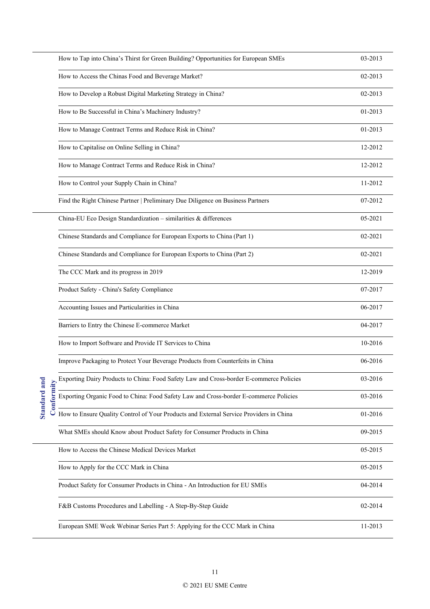|                           | How to Tap into China's Thirst for Green Building? Opportunities for European SMEs      | 03-2013 |
|---------------------------|-----------------------------------------------------------------------------------------|---------|
|                           | How to Access the Chinas Food and Beverage Market?                                      | 02-2013 |
|                           | How to Develop a Robust Digital Marketing Strategy in China?                            | 02-2013 |
|                           | How to Be Successful in China's Machinery Industry?                                     | 01-2013 |
|                           | How to Manage Contract Terms and Reduce Risk in China?                                  | 01-2013 |
|                           | How to Capitalise on Online Selling in China?                                           | 12-2012 |
|                           | How to Manage Contract Terms and Reduce Risk in China?                                  | 12-2012 |
|                           | How to Control your Supply Chain in China?                                              | 11-2012 |
|                           | Find the Right Chinese Partner   Preliminary Due Diligence on Business Partners         | 07-2012 |
|                           | China-EU Eco Design Standardization - similarities & differences                        | 05-2021 |
|                           | Chinese Standards and Compliance for European Exports to China (Part 1)                 | 02-2021 |
|                           | Chinese Standards and Compliance for European Exports to China (Part 2)                 | 02-2021 |
|                           | The CCC Mark and its progress in 2019                                                   | 12-2019 |
|                           | Product Safety - China's Safety Compliance                                              | 07-2017 |
|                           | Accounting Issues and Particularities in China                                          | 06-2017 |
|                           | Barriers to Entry the Chinese E-commerce Market                                         | 04-2017 |
|                           | How to Import Software and Provide IT Services to China                                 | 10-2016 |
|                           | Improve Packaging to Protect Your Beverage Products from Counterfeits in China          | 06-2016 |
|                           | Exporting Dairy Products to China: Food Safety Law and Cross-border E-commerce Policies | 03-2016 |
| Standard and<br>onformity | Exporting Organic Food to China: Food Safety Law and Cross-border E-commerce Policies   | 03-2016 |
|                           | How to Ensure Quality Control of Your Products and External Service Providers in China  | 01-2016 |
|                           | What SMEs should Know about Product Safety for Consumer Products in China               | 09-2015 |
|                           | How to Access the Chinese Medical Devices Market                                        | 05-2015 |
|                           | How to Apply for the CCC Mark in China                                                  | 05-2015 |
|                           | Product Safety for Consumer Products in China - An Introduction for EU SMEs             | 04-2014 |
|                           | F&B Customs Procedures and Labelling - A Step-By-Step Guide                             | 02-2014 |
|                           | European SME Week Webinar Series Part 5: Applying for the CCC Mark in China             | 11-2013 |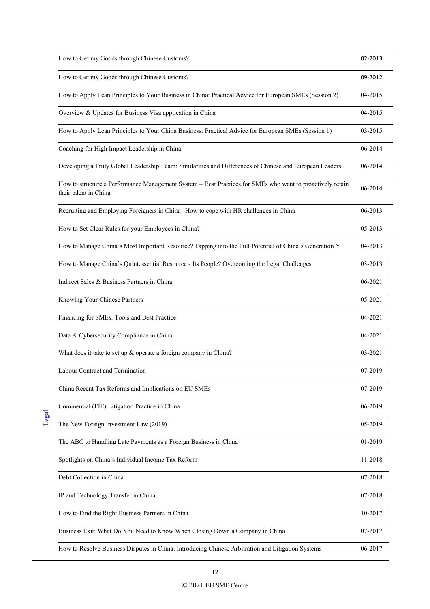| How to Get my Goods through Chinese Customs?                                                                                       | 02-2013 |
|------------------------------------------------------------------------------------------------------------------------------------|---------|
| How to Get my Goods through Chinese Customs?                                                                                       | 09-2012 |
| How to Apply Lean Principles to Your Business in China: Practical Advice for European SMEs (Session 2)                             | 04-2015 |
| Overview & Updates for Business Visa application in China                                                                          | 04-2015 |
| How to Apply Lean Principles to Your China Business: Practical Advice for European SMEs (Session 1)                                | 03-2015 |
| Coaching for High Impact Leadership in China                                                                                       | 06-2014 |
| Developing a Truly Global Leadership Team: Similarities and Differences of Chinese and European Leaders                            | 06-2014 |
| How to structure a Performance Management System - Best Practices for SMEs who want to proactively retain<br>their talent in China | 06-2014 |
| Recruiting and Employing Foreigners in China   How to cope with HR challenges in China                                             | 06-2013 |
| How to Set Clear Rules for your Employees in China?                                                                                | 05-2013 |
| How to Manage China's Most Important Resource? Tapping into the Full Potential of China's Generation Y                             | 04-2013 |
| How to Manage China's Quintessential Resource - Its People? Overcoming the Legal Challenges                                        | 03-2013 |
| Indirect Sales & Business Partners in China                                                                                        | 06-2021 |
| Knowing Your Chinese Partners                                                                                                      | 05-2021 |
| Financing for SMEs: Tools and Best Practice                                                                                        | 04-2021 |
| Data & Cybersecurity Compliance in China                                                                                           | 04-2021 |
| What does it take to set up & operate a foreign company in China?                                                                  | 03-2021 |
| Labour Contract and Termination                                                                                                    | 07-2019 |
| China Recent Tax Reforms and Implications on EU SMEs                                                                               | 07-2019 |
| Commercial (FIE) Litigation Practice in China                                                                                      | 06-2019 |
| The New Foreign Investment Law (2019)                                                                                              | 05-2019 |
| The ABC to Handling Late Payments as a Foreign Business in China                                                                   | 01-2019 |
| Spotlights on China's Individual Income Tax Reform                                                                                 | 11-2018 |
| Debt Collection in China                                                                                                           | 07-2018 |
| IP and Technology Transfer in China                                                                                                | 07-2018 |
| How to Find the Right Business Partners in China                                                                                   | 10-2017 |
| Business Exit: What Do You Need to Know When Closing Down a Company in China                                                       | 07-2017 |
| How to Resolve Business Disputes in China: Introducing Chinese Arbitration and Litigation Systems                                  | 06-2017 |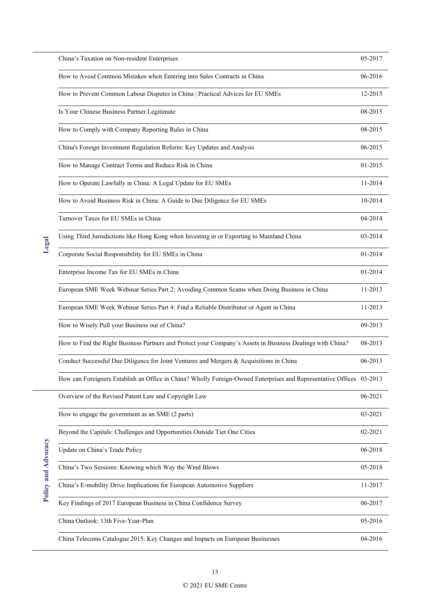| China's Taxation on Non-resident Enterprises                                                                         | 05-2017 |
|----------------------------------------------------------------------------------------------------------------------|---------|
| How to Avoid Common Mistakes when Entering into Sales Contracts in China                                             | 06-2016 |
| How to Prevent Common Labour Disputes in China   Practical Advices for EU SMEs                                       | 12-2015 |
| Is Your Chinese Business Partner Legitimate                                                                          | 08-2015 |
| How to Comply with Company Reporting Rules in China                                                                  | 08-2015 |
| China's Foreign Investment Regulation Reform: Key Updates and Analysis                                               | 06-2015 |
| How to Manage Contract Terms and Reduce Risk in China                                                                | 01-2015 |
| How to Operate Lawfully in China: A Legal Update for EU SMEs                                                         | 11-2014 |
| How to Avoid Business Risk in China: A Guide to Due Diligence for EU SMEs                                            | 10-2014 |
| Turnover Taxes for EU SMEs in China                                                                                  | 04-2014 |
| Using Third Jurisdictions like Hong Kong when Investing in or Exporting to Mainland China                            | 03-2014 |
| Corporate Social Responsibility for EU SMEs in China                                                                 | 01-2014 |
| Enterprise Income Tax for EU SMEs in China                                                                           | 01-2014 |
| European SME Week Webinar Series Part 2: Avoiding Common Scams when Doing Business in China                          | 11-2013 |
| European SME Week Webinar Series Part 4: Find a Reliable Distributor or Agent in China                               | 11-2013 |
| How to Wisely Pull your Business out of China?                                                                       | 09-2013 |
| How to Find the Right Business Partners and Protect your Company's Assets in Business Dealings with China?           | 08-2013 |
| Conduct Successful Due Diligence for Joint Ventures and Mergers & Acquisitions in China                              | 06-2013 |
| How can Foreigners Establish an Office in China? Wholly Foreign-Owned Enterprises and Representative Offices 03-2013 |         |
| Overview of the Revised Patent Law and Copyright Law                                                                 | 06-2021 |
| How to engage the government as an SME (2 parts)                                                                     | 03-2021 |
| Beyond the Capitals: Challenges and Opportunities Outside Tier One Cities                                            | 02-2021 |
| Update on China's Trade Policy                                                                                       | 06-2018 |
| China's Two Sessions: Knowing which Way the Wind Blows                                                               | 05-2018 |
| China's E-mobility Drive Implications for European Automotive Suppliers                                              | 11-2017 |
| Key Findings of 2017 European Business in China Confidence Survey                                                    | 06-2017 |
| China Outlook: 13th Five-Year-Plan                                                                                   | 05-2016 |
| China Telecoms Catalogue 2015: Key Changes and Impacts on European Businesses                                        | 04-2016 |

Policy and Advocacy **Policy and Advocacy**